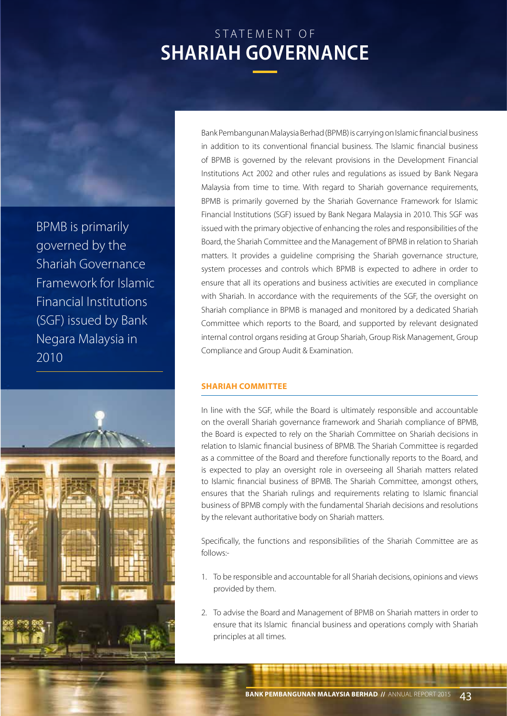# STATEMENT OF **SHARIAH GOVERNANCE**

BPMB is primarily governed by the Shariah Governance Framework for Islamic Financial Institutions (SGF) issued by Bank Negara Malaysia in 2010



Bank Pembangunan Malaysia Berhad (BPMB) is carrying on Islamic financial business in addition to its conventional financial business. The Islamic financial business of BPMB is governed by the relevant provisions in the Development Financial Institutions Act 2002 and other rules and regulations as issued by Bank Negara Malaysia from time to time. With regard to Shariah governance requirements, BPMB is primarily governed by the Shariah Governance Framework for Islamic Financial Institutions (SGF) issued by Bank Negara Malaysia in 2010. This SGF was issued with the primary objective of enhancing the roles and responsibilities of the Board, the Shariah Committee and the Management of BPMB in relation to Shariah matters. It provides a guideline comprising the Shariah governance structure, system processes and controls which BPMB is expected to adhere in order to ensure that all its operations and business activities are executed in compliance with Shariah. In accordance with the requirements of the SGF, the oversight on Shariah compliance in BPMB is managed and monitored by a dedicated Shariah Committee which reports to the Board, and supported by relevant designated internal control organs residing at Group Shariah, Group Risk Management, Group Compliance and Group Audit & Examination.

# **SHARIAH COMMITTEE**

In line with the SGF, while the Board is ultimately responsible and accountable on the overall Shariah governance framework and Shariah compliance of BPMB, the Board is expected to rely on the Shariah Committee on Shariah decisions in relation to Islamic financial business of BPMB. The Shariah Committee is regarded as a committee of the Board and therefore functionally reports to the Board, and is expected to play an oversight role in overseeing all Shariah matters related to Islamic financial business of BPMB. The Shariah Committee, amongst others, ensures that the Shariah rulings and requirements relating to Islamic financial business of BPMB comply with the fundamental Shariah decisions and resolutions by the relevant authoritative body on Shariah matters.

Specifically, the functions and responsibilities of the Shariah Committee are as follows:-

- 1. To be responsible and accountable for all Shariah decisions, opinions and views provided by them.
- 2. To advise the Board and Management of BPMB on Shariah matters in order to ensure that its Islamic financial business and operations comply with Shariah principles at all times.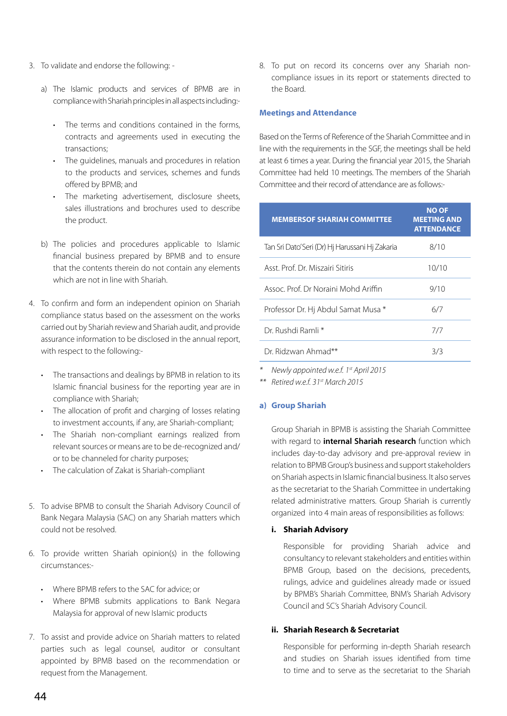- 3. To validate and endorse the following:
	- a) The Islamic products and services of BPMB are in compliance with Shariah principles in all aspects including:-
		- • The terms and conditions contained in the forms, contracts and agreements used in executing the transactions;
		- The quidelines, manuals and procedures in relation to the products and services, schemes and funds offered by BPMB; and
		- • The marketing advertisement, disclosure sheets, sales illustrations and brochures used to describe the product.
	- b) The policies and procedures applicable to Islamic financial business prepared by BPMB and to ensure that the contents therein do not contain any elements which are not in line with Shariah.
- 4. To confirm and form an independent opinion on Shariah compliance status based on the assessment on the works carried out by Shariah review and Shariah audit, and provide assurance information to be disclosed in the annual report, with respect to the following:-
	- • The transactions and dealings by BPMB in relation to its Islamic financial business for the reporting year are in compliance with Shariah;
	- The allocation of profit and charging of losses relating to investment accounts, if any, are Shariah-compliant;
	- • The Shariah non-compliant earnings realized from relevant sources or means are to be de-recognized and/ or to be channeled for charity purposes;
	- • The calculation of Zakat is Shariah-compliant
- 5. To advise BPMB to consult the Shariah Advisory Council of Bank Negara Malaysia (SAC) on any Shariah matters which could not be resolved.
- 6. To provide written Shariah opinion(s) in the following circumstances:-
	- • Where BPMB refers to the SAC for advice; or
	- Where BPMB submits applications to Bank Negara Malaysia for approval of new Islamic products
- 7. To assist and provide advice on Shariah matters to related parties such as legal counsel, auditor or consultant appointed by BPMB based on the recommendation or request from the Management.

8. To put on record its concerns over any Shariah noncompliance issues in its report or statements directed to the Board.

#### **Meetings and Attendance**

Based on the Terms of Reference of the Shariah Committee and in line with the requirements in the SGF, the meetings shall be held at least 6 times a year. During the financial year 2015, the Shariah Committee had held 10 meetings. The members of the Shariah Committee and their record of attendance are as follows:-

| <b>MEMBERSOF SHARIAH COMMITTEE</b>              | <b>NO OF</b><br><b>MEETING AND</b><br><b>ATTENDANCE</b> |
|-------------------------------------------------|---------------------------------------------------------|
| Tan Sri Dato' Seri (Dr) Hj Harussani Hj Zakaria | 8/10                                                    |
| Asst. Prof. Dr. Miszairi Sitiris                | 10/10                                                   |
| Assoc, Prof. Dr Noraini Mohd Ariffin            | 9/10                                                    |
| Professor Dr. Hi Abdul Samat Musa *             | 6/7                                                     |
| Dr. Rushdi Ramli *                              | 7/7                                                     |
| Dr Ridzwan Ahmad**                              | 3/3                                                     |

*\* Newly appointed w.e.f. 1st April 2015* 

*\*\* Retired w.e.f. 31st March 2015*

#### **a) Group Shariah**

Group Shariah in BPMB is assisting the Shariah Committee with regard to **internal Shariah research** function which includes day-to-day advisory and pre-approval review in relation to BPMB Group's business and support stakeholders on Shariah aspects in Islamic financial business. It also serves as the secretariat to the Shariah Committee in undertaking related administrative matters. Group Shariah is currently organized into 4 main areas of responsibilities as follows:

### **i. Shariah Advisory**

Responsible for providing Shariah advice and consultancy to relevant stakeholders and entities within BPMB Group, based on the decisions, precedents, rulings, advice and guidelines already made or issued by BPMB's Shariah Committee, BNM's Shariah Advisory Council and SC's Shariah Advisory Council.

## **ii. Shariah Research & Secretariat**

Responsible for performing in-depth Shariah research and studies on Shariah issues identified from time to time and to serve as the secretariat to the Shariah